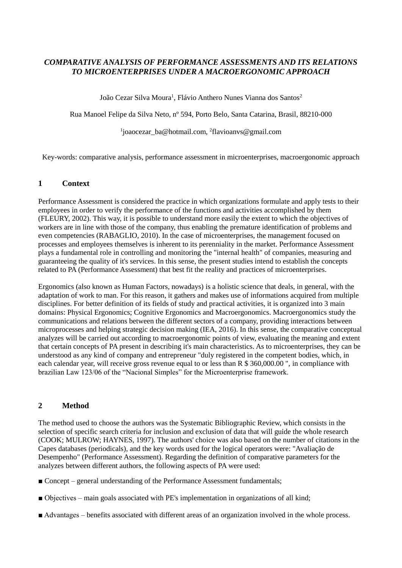# *COMPARATIVE ANALYSIS OF PERFORMANCE ASSESSMENTS AND ITS RELATIONS TO MICROENTERPRISES UNDER A MACROERGONOMIC APPROACH*

João Cezar Silva Moura<sup>1</sup>, Flávio Anthero Nunes Vianna dos Santos<sup>2</sup>

Rua Manoel Felipe da Silva Neto, nº 594, Porto Belo, Santa Catarina, Brasil, 88210-000

1 [j](mailto:1joaocezar_ba@hotmail.com)oaocezar\_ba@hotmail.com, <sup>2</sup> [flavioanvs@gmail.com](mailto:2flavioanvs@gmail.com)

Key-words: comparative analysis, performance assessment in microenterprises, macroergonomic approach

## **1 Context**

Performance Assessment is considered the practice in which organizations formulate and apply tests to their employees in order to verify the performance of the functions and activities accomplished by them (FLEURY, 2002). This way, it is possible to understand more easily the extent to which the objectives of workers are in line with those of the company, thus enabling the premature identification of problems and even competencies (RABAGLIO, 2010). In the case of microenterprises, the management focused on processes and employees themselves is inherent to its perenniality in the market. Performance Assessment plays a fundamental role in controlling and monitoring the "internal health" of companies, measuring and guaranteeing the quality of it's services. In this sense, the present studies intend to establish the concepts related to PA (Performance Assessment) that best fit the reality and practices of microenterprises.

Ergonomics (also known as Human Factors, nowadays) is a holistic science that deals, in general, with the adaptation of work to man. For this reason, it gathers and makes use of informations acquired from multiple disciplines. For better definition of its fields of study and practical activities, it is organized into 3 main domains: Physical Ergonomics; Cognitive Ergonomics and Macroergonomics. Macroergonomics study the communications and relations between the different sectors of a company, providing interactions between microprocesses and helping strategic decision making (IEA, 2016). In this sense, the comparative conceptual analyzes will be carried out according to macroergonomic points of view, evaluating the meaning and extent that certain concepts of PA present in describing it's main characteristics. As to microenterprises, they can be understood as any kind of company and entrepreneur "duly registered in the competent bodies, which, in each calendar year, will receive gross revenue equal to or less than R \$ 360,000.00 ", in compliance with brazilian Law 123/06 of the "Nacional Simples" for the Microenterprise framework.

## **2 Method**

The method used to choose the authors was the Systematic Bibliographic Review, which consists in the selection of specific search criteria for inclusion and exclusion of data that will guide the whole research (COOK; MULROW; HAYNES, 1997). The authors' choice was also based on the number of citations in the Capes databases (periodicals), and the key words used for the logical operators were: "Avaliação de Desempenho" (Performance Assessment). Regarding the definition of comparative parameters for the analyzes between different authors, the following aspects of PA were used:

- Concept general understanding of the Performance Assessment fundamentals;
- Objectives main goals associated with PE's implementation in organizations of all kind;
- Advantages benefits associated with different areas of an organization involved in the whole process.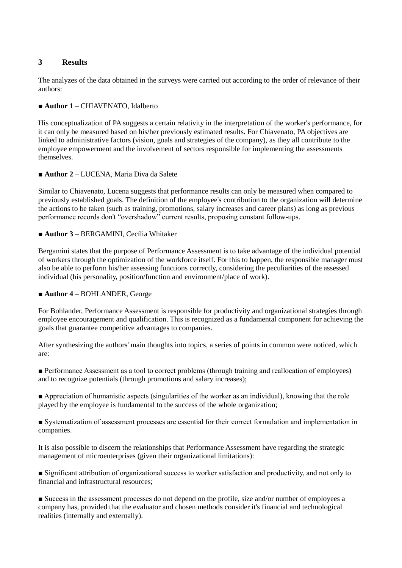## **3 Results**

The analyzes of the data obtained in the surveys were carried out according to the order of relevance of their authors:

### ■ **Author 1** – CHIAVENATO, Idalberto

His conceptualization of PA suggests a certain relativity in the interpretation of the worker's performance, for it can only be measured based on his/her previously estimated results. For Chiavenato, PA objectives are linked to administrative factors (vision, goals and strategies of the company), as they all contribute to the employee empowerment and the involvement of sectors responsible for implementing the assessments themselves.

#### ■ **Author 2** – LUCENA, Maria Diva da Salete

Similar to Chiavenato, Lucena suggests that performance results can only be measured when compared to previously established goals. The definition of the employee's contribution to the organization will determine the actions to be taken (such as training, promotions, salary increases and career plans) as long as previous performance records don't "overshadow" current results, proposing constant follow-ups.

#### ■ **Author 3** – BERGAMINI, Cecília Whitaker

Bergamini states that the purpose of Performance Assessment is to take advantage of the individual potential of workers through the optimization of the workforce itself. For this to happen, the responsible manager must also be able to perform his/her assessing functions correctly, considering the peculiarities of the assessed individual (his personality, position/function and environment/place of work).

#### ■ **Author 4** – BOHLANDER, George

For Bohlander, Performance Assessment is responsible for productivity and organizational strategies through employee encouragement and qualification. This is recognized as a fundamental component for achieving the goals that guarantee competitive advantages to companies.

After synthesizing the authors' main thoughts into topics, a series of points in common were noticed, which are:

■ Performance Assessment as a tool to correct problems (through training and reallocation of employees) and to recognize potentials (through promotions and salary increases);

■ Appreciation of humanistic aspects (singularities of the worker as an individual), knowing that the role played by the employee is fundamental to the success of the whole organization;

■ Systematization of assessment processes are essential for their correct formulation and implementation in companies.

It is also possible to discern the relationships that Performance Assessment have regarding the strategic management of microenterprises (given their organizational limitations):

■ Significant attribution of organizational success to worker satisfaction and productivity, and not only to financial and infrastructural resources;

■ Success in the assessment processes do not depend on the profile, size and/or number of employees a company has, provided that the evaluator and chosen methods consider it's financial and technological realities (internally and externally).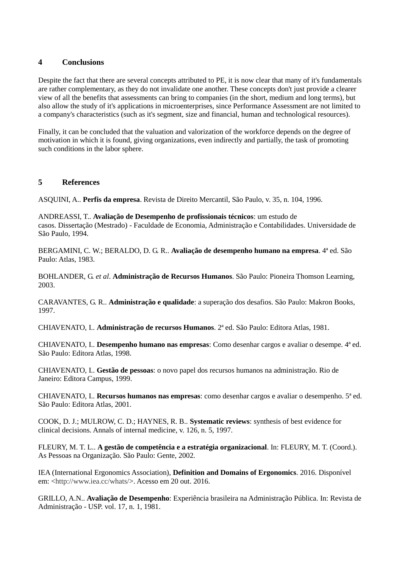### **4 Conclusions**

Despite the fact that there are several concepts attributed to PE, it is now clear that many of it's fundamentals are rather complementary, as they do not invalidate one another. These concepts don't just provide a clearer view of all the benefits that assessments can bring to companies (in the short, medium and long terms), but also allow the study of it's applications in microenterprises, since Performance Assessment are not limited to a company's characteristics (such as it's segment, size and financial, human and technological resources).

Finally, it can be concluded that the valuation and valorization of the workforce depends on the degree of motivation in which it is found, giving organizations, even indirectly and partially, the task of promoting such conditions in the labor sphere.

## **5 References**

ASQUINI, A.. **Perfis da empresa**. Revista de Direito Mercantil, São Paulo, v. 35, n. 104, 1996.

ANDREASSI, T.. **Avaliação de Desempenho de profissionais técnicos**: um estudo de casos. Dissertação (Mestrado) - Faculdade de Economia, Administração e Contabilidades. Universidade de São Paulo, 1994.

BERGAMINI, C. W.; BERALDO, D. G. R.. **Avaliação de desempenho humano na empresa**. 4ª ed. São Paulo: Atlas, 1983.

BOHLANDER, G. *et al*. **Administração de Recursos Humanos**. São Paulo: Pioneira Thomson Learning, 2003.

CARAVANTES, G. R.. **Administração e qualidade**: a superação dos desafios. São Paulo: Makron Books, 1997.

CHIAVENATO, I.. **Administração de recursos Humanos**. 2ª ed. São Paulo: Editora Atlas, 1981.

CHIAVENATO, I.. **Desempenho humano nas empresas**: Como desenhar cargos e avaliar o desempe. 4ª ed. São Paulo: Editora Atlas, 1998.

CHIAVENATO, I.. **Gestão de pessoas**: o novo papel dos recursos humanos na administração. Rio de Janeiro: Editora Campus, 1999.

CHIAVENATO, I.. **Recursos humanos nas empresas**: como desenhar cargos e avaliar o desempenho. 5ª ed. São Paulo: Editora Atlas, 2001.

COOK, D. J.; MULROW, C. D.; HAYNES, R. B.. **Systematic reviews**: synthesis of best evidence for clinical decisions. Annals of internal medicine, v. 126, n. 5, 1997.

FLEURY, M. T. L.. **A gestão de competência e a estratégia organizacional**. In: FLEURY, M. T. (Coord.). As Pessoas na Organização. São Paulo: Gente, 2002.

IEA (International Ergonomics Association), **Definition and Domains of Ergonomics**. 2016. Disponível em: [<http://www.iea.cc/whats/>](http://www.iea.cc/whats/). Acesso em 20 out. 2016.

GRILLO, A.N.. **Avaliação de Desempenho**: Experiência brasileira na Administração Pública. In: Revista de Administração - USP. vol. 17, n. 1, 1981.